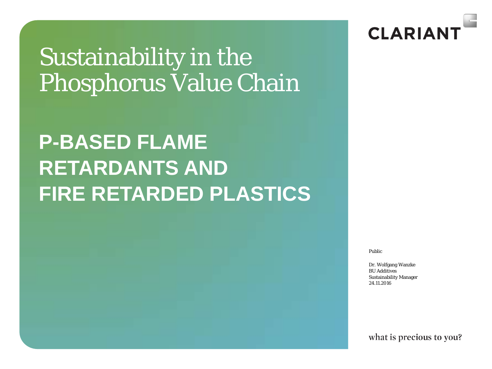# Sustainability in the Phosphorus Value Chain

# **P-BASED FLAME RETARDANTS AND FIRE RETARDED PLASTICS**

CLARIAN

Public

Dr. Wolfgang Wanzke BU Additives Sustainability Manager 24.11.2016

what is precious to you?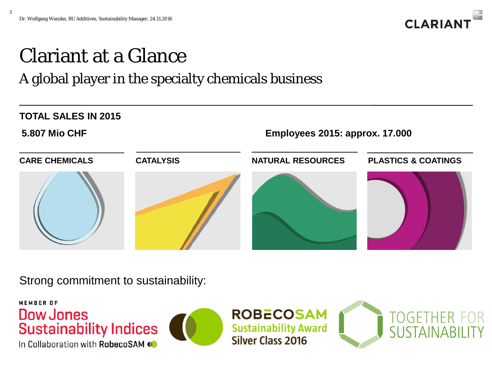2



# Clariant at a Glance

#### A global player in the specialty chemicals business



Strong commitment to sustainability:



In Collaboration with RobecoSAM



**ROBECOSAM Sustainability Award** Silver Class 2016

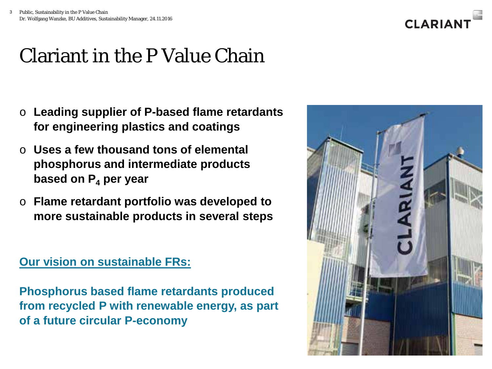

### Clariant in the P Value Chain

- o **Leading supplier of P-based flame retardants for engineering plastics and coatings**
- o **Uses a few thousand tons of elemental phosphorus and intermediate products based on P4 per year**
- o **Flame retardant portfolio was developed to more sustainable products in several steps**

#### **Our vision on sustainable FRs:**

**Phosphorus based flame retardants produced from recycled P with renewable energy, as part of a future circular P-economy**

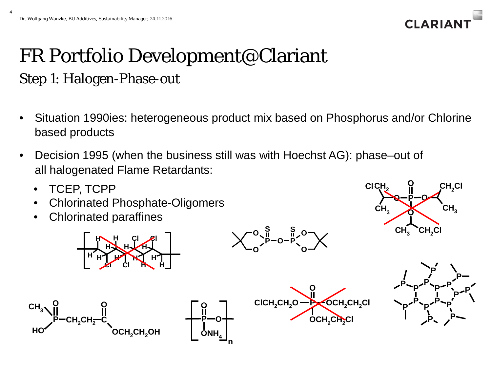4



### FR Portfolio Development@Clariant Step 1: Halogen-Phase-out

- Situation 1990ies: heterogeneous product mix based on Phosphorus and/or Chlorine based products
- Decision 1995 (when the business still was with Hoechst AG): phase–out of all halogenated Flame Retardants:

**P** — O

**O**

 $\mathsf{ONH}_4$ 

**n**

• TCEP, TCPP

**P**

**CH2CH2 C**

**O**

 $\mathsf{CH}_3$ 

• Chlorinated Phosphate-Oligomers

**H Cl**

**H**  $\bigstar$  H **H H H H**

**Cl H**

**Cl**

**H**

• Chlorinated paraffines

**H**

**H**

**O**

**Cl**

**HO OCH2CH2OH**







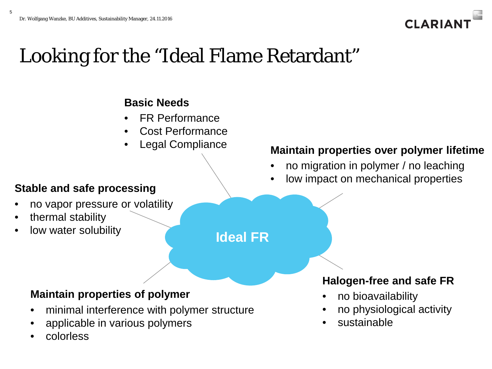

### Looking for the "Ideal Flame Retardant"

#### **Basic Needs**

- **FR Performance**
- Cost Performance
- Legal Compliance

- no vapor pressure or volatility
- thermal stability
- low water solubility

#### **Maintain properties over polymer lifetime**

- no migration in polymer / no leaching
- low impact on mechanical properties **Stable and safe processing**

#### **Ideal FR**

#### **Maintain properties of polymer**

- minimal interference with polymer structure
- applicable in various polymers
- colorless

#### **Halogen-free and safe FR**

- no bioavailability
- no physiological activity
- sustainable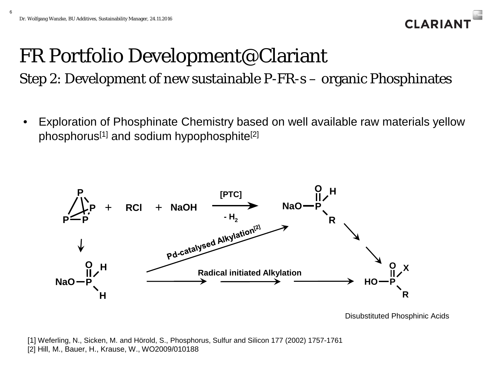

# FR Portfolio Development@Clariant

Step 2: Development of new sustainable P-FR-s – organic Phosphinates

• Exploration of Phosphinate Chemistry based on well available raw materials yellow phosphorus<sup>[1]</sup> and sodium hypophosphite<sup>[2]</sup>



Disubstituted Phosphinic Acids

[1] Weferling, N., Sicken, M. and Hörold, S., Phosphorus, Sulfur and Silicon 177 (2002) 1757-1761 [2] Hill, M., Bauer, H., Krause, W., WO2009/010188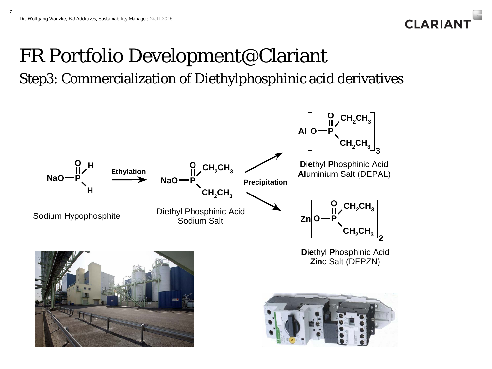

### FR Portfolio Development@Clariant Step3: Commercialization of Diethylphosphinic acid derivatives

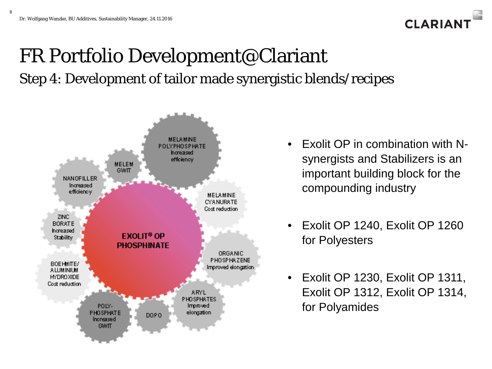

### FR Portfolio Development@Clariant Step 4: Development of tailor made synergistic blends/recipes



- Exolit OP in combination with Nsynergists and Stabilizers is an important building block for the compounding industry
- Exolit OP 1240, Exolit OP 1260 for Polyesters
- Exolit OP 1230, Exolit OP 1311, Exolit OP 1312, Exolit OP 1314, for Polyamides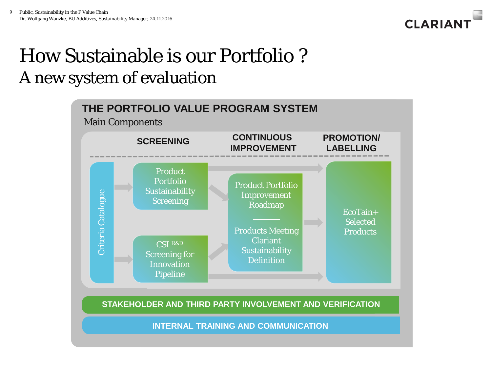

### How Sustainable is our Portfolio ? A new system of evaluation



**STAKEHOLDER AND THIRD PARTY INVOLVEMENT AND VERIFICATION** 

**INTERNAL TRAINING AND COMMUNICATION**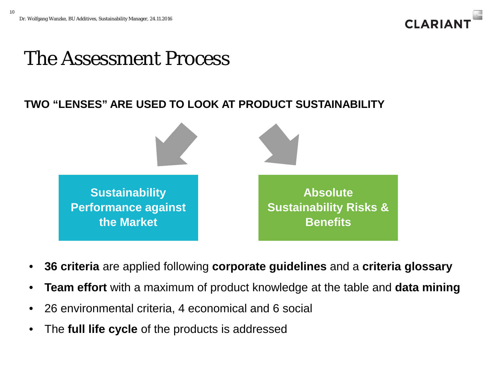10



#### The Assessment Process

#### **TWO "LENSES" ARE USED TO LOOK AT PRODUCT SUSTAINABILITY**



- **36 criteria** are applied following **corporate guidelines** and a **criteria glossary**
- **Team effort** with a maximum of product knowledge at the table and **data mining**
- 26 environmental criteria, 4 economical and 6 social
- The **full life cycle** of the products is addressed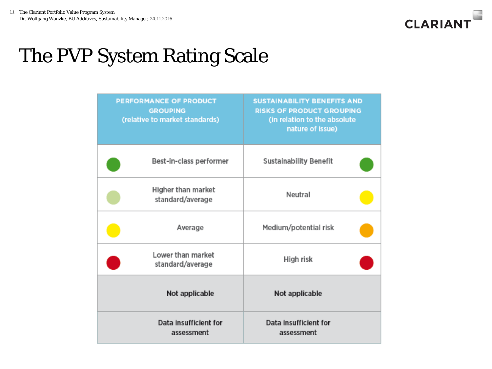

### The PVP System Rating Scale

| PERFORMANCE OF PRODUCT<br><b>GROUPING</b><br>(relative to market standards) |                                        | <b>SUSTAINABILITY BENEFITS AND</b><br><b>RISKS OF PRODUCT GROUPING</b><br>(in relation to the absolute<br>nature of issue) |  |
|-----------------------------------------------------------------------------|----------------------------------------|----------------------------------------------------------------------------------------------------------------------------|--|
|                                                                             | Best-in-class performer                | <b>Sustainability Benefit</b>                                                                                              |  |
|                                                                             | Higher than market<br>standard/average | Neutral                                                                                                                    |  |
|                                                                             | Average                                | Medium/potential risk                                                                                                      |  |
| Lower than market<br>standard/average                                       |                                        | High risk                                                                                                                  |  |
| Not applicable                                                              |                                        | Not applicable                                                                                                             |  |
|                                                                             | Data insufficient for<br>assessment    | Data insufficient for<br>assessment                                                                                        |  |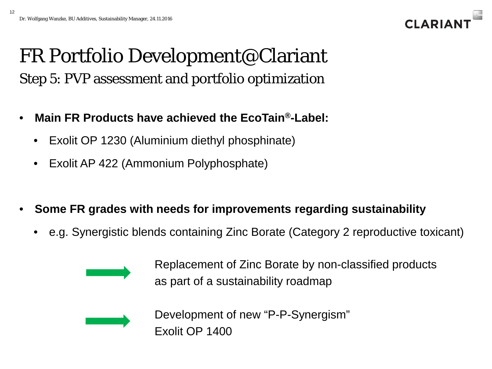

### FR Portfolio Development@Clariant Step 5: PVP assessment and portfolio optimization

- **Main FR Products have achieved the EcoTain®-Label:**
	- Exolit OP 1230 (Aluminium diethyl phosphinate)
	- Exolit AP 422 (Ammonium Polyphosphate)
- **Some FR grades with needs for improvements regarding sustainability**
	- e.g. Synergistic blends containing Zinc Borate (Category 2 reproductive toxicant)



Replacement of Zinc Borate by non-classified products as part of a sustainability roadmap



Development of new "P-P-Synergism" Exolit OP 1400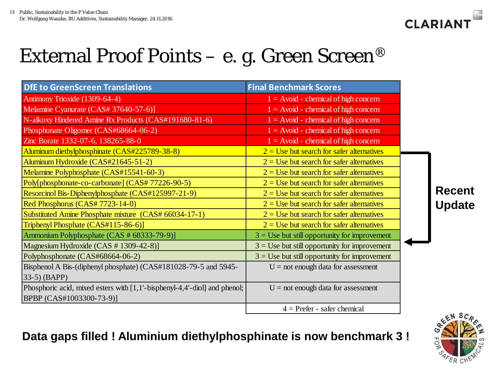

## External Proof Points – e. g. Green Screen<sup>®</sup>

| <b>DfE to GreenScreen Translations</b>                                    | <b>Final Benchmark Scores</b>                   |  |               |  |
|---------------------------------------------------------------------------|-------------------------------------------------|--|---------------|--|
| Antimony Trioxide (1309-64-4)                                             | $1 =$ Avoid - chemical of high concern          |  |               |  |
| Melamine Cyanurate (CAS# 37640-57-6)]                                     | $1 = Avoid - chemical of high concern$          |  |               |  |
| N-alkoxy Hindered Amine Rx Products (CAS#191680-81-6)                     | $1 =$ Avoid - chemical of high concern          |  |               |  |
| Phosphonate Oligomer (CAS#68664-06-2)                                     | $1 =$ Avoid - chemical of high concern          |  |               |  |
| Zinc Borate 1332-07-6, 138265-88-0                                        | $1 = Avoid - chemical of high concern$          |  |               |  |
| Aluminum diethylphosphinate (CAS#225789-38-8)                             | $2 =$ Use but search for safer alternatives     |  |               |  |
| Aluminum Hydroxide (CAS#21645-51-2)                                       | $2 =$ Use but search for safer alternatives     |  |               |  |
| Melamine Polyphosphate (CAS#15541-60-3)                                   | $2 =$ Use but search for safer alternatives     |  |               |  |
| Poly[phosphonate-co-carbonate] (CAS# 77226-90-5)                          | $2 =$ Use but search for safer alternatives     |  |               |  |
| Resorcinol Bis-Diphenylphosphate (CAS#125997-21-9)                        | $2 =$ Use but search for safer alternatives     |  | <b>Recent</b> |  |
| Red Phosphorus (CAS# 7723-14-0)                                           | $2 =$ Use but search for safer alternatives     |  | <b>Update</b> |  |
| Substituted Amine Phosphate mixture (CAS# 66034-17-1)                     | $2 =$ Use but search for safer alternatives     |  |               |  |
| Triphenyl Phosphate (CAS#115-86-6)]                                       | $2 =$ Use but search for safer alternatives     |  |               |  |
| Ammonium Polyphosphate (CAS # 68333-79-9)]                                | $3 =$ Use but still opportunity for improvement |  |               |  |
| Magnesium Hydroxide (CAS # 1309-42-8)]                                    | $3 =$ Use but still opportunity for improvement |  |               |  |
| Polyphosphonate (CAS#68664-06-2)                                          | $3 =$ Use but still opportunity for improvement |  |               |  |
| Bisphenol A Bis-(diphenyl phosphate) (CAS#181028-79-5 and 5945-           | $U = not enough data for assessment$            |  |               |  |
| $(33-5)$ (BAPP)                                                           |                                                 |  |               |  |
| Phosphoric acid, mixed esters with [1,1'-bisphenyl-4,4'-diol] and phenol; | $U = not enough data for assessment$            |  |               |  |
| BPBP (CAS#1003300-73-9)]                                                  |                                                 |  |               |  |
|                                                                           | $4 =$ Prefer - safer chemical                   |  |               |  |



#### **Data gaps filled ! Aluminium diethylphosphinate is now benchmark 3 !**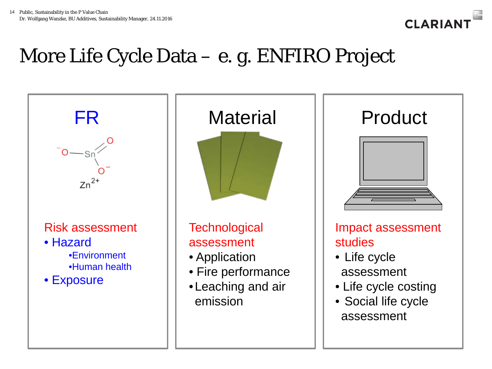

### More Life Cycle Data – e. g. ENFIRO Project

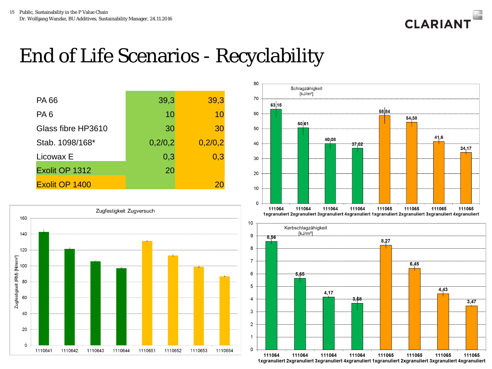

### End of Life Scenarios - Recyclability

| <b>PA66</b>        | 39,3    | 39,3    |
|--------------------|---------|---------|
| PA <sub>6</sub>    | 10      | 10      |
| Glass fibre HP3610 | 30      | 30      |
| Stab. 1098/168*    | 0,2/0,2 | 0,2/0,2 |
| Licowax E          | 0,3     | 0,3     |
| Exolit OP 1312     | 20      |         |
| Exolit OP 1400     |         |         |





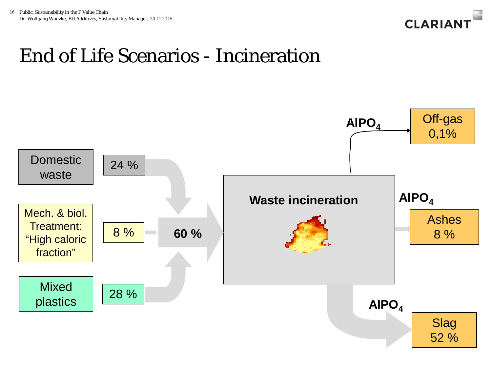

### End of Life Scenarios - Incineration